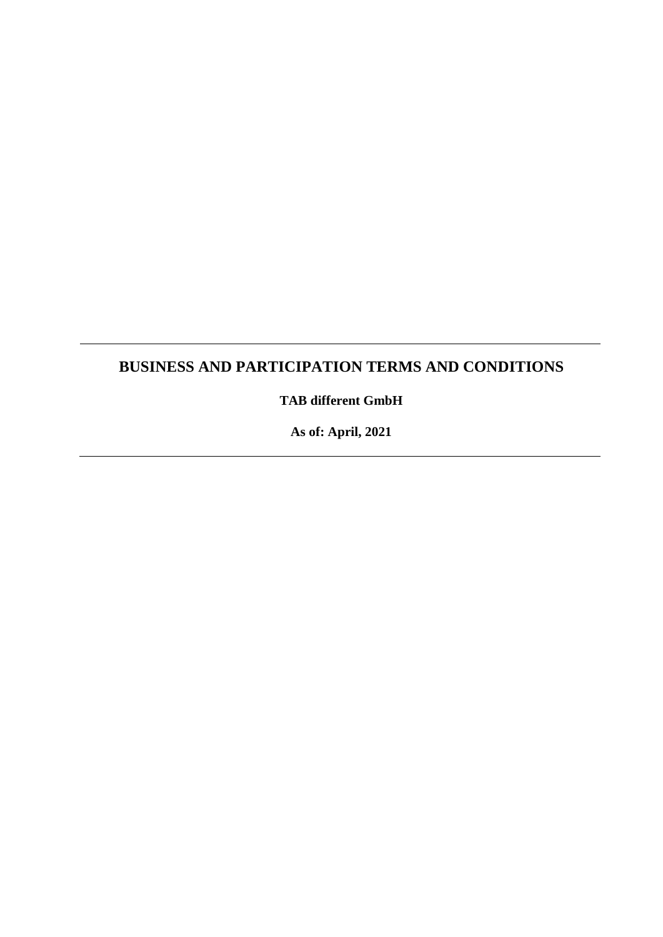# **BUSINESS AND PARTICIPATION TERMS AND CONDITIONS**

**TAB different GmbH**

**As of: April, 2021**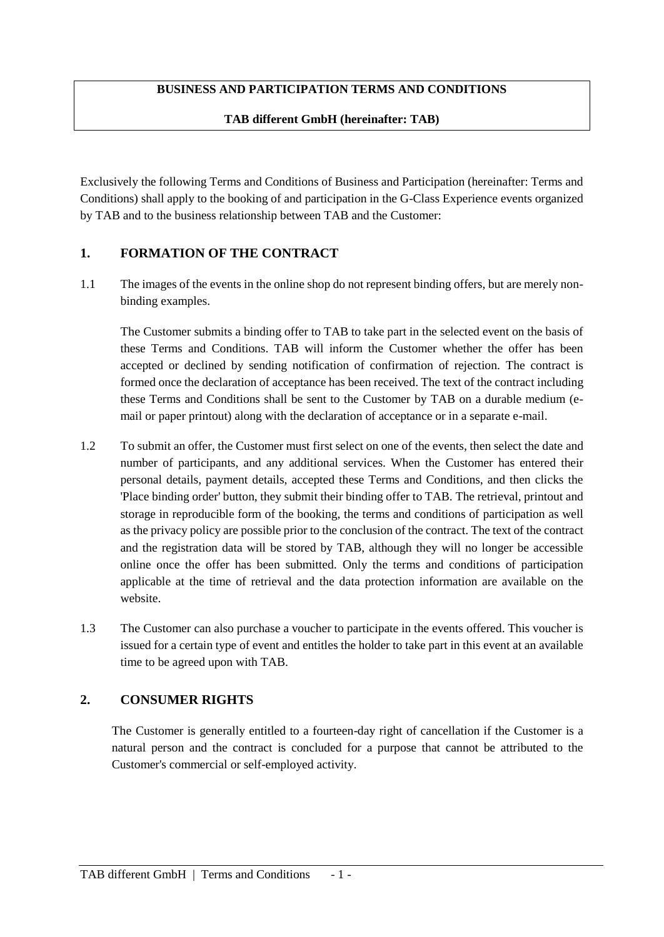# **BUSINESS AND PARTICIPATION TERMS AND CONDITIONS**

#### **TAB different GmbH (hereinafter: TAB)**

Exclusively the following Terms and Conditions of Business and Participation (hereinafter: Terms and Conditions) shall apply to the booking of and participation in the G-Class Experience events organized by TAB and to the business relationship between TAB and the Customer:

# **1. FORMATION OF THE CONTRACT**

1.1 The images of the events in the online shop do not represent binding offers, but are merely nonbinding examples.

The Customer submits a binding offer to TAB to take part in the selected event on the basis of these Terms and Conditions. TAB will inform the Customer whether the offer has been accepted or declined by sending notification of confirmation of rejection. The contract is formed once the declaration of acceptance has been received. The text of the contract including these Terms and Conditions shall be sent to the Customer by TAB on a durable medium (email or paper printout) along with the declaration of acceptance or in a separate e-mail.

- 1.2 To submit an offer, the Customer must first select on one of the events, then select the date and number of participants, and any additional services. When the Customer has entered their personal details, payment details, accepted these Terms and Conditions, and then clicks the 'Place binding order' button, they submit their binding offer to TAB. The retrieval, printout and storage in reproducible form of the booking, the terms and conditions of participation as well as the privacy policy are possible prior to the conclusion of the contract. The text of the contract and the registration data will be stored by TAB, although they will no longer be accessible online once the offer has been submitted. Only the terms and conditions of participation applicable at the time of retrieval and the data protection information are available on the website.
- 1.3 The Customer can also purchase a voucher to participate in the events offered. This voucher is issued for a certain type of event and entitles the holder to take part in this event at an available time to be agreed upon with TAB.

# **2. CONSUMER RIGHTS**

The Customer is generally entitled to a fourteen-day right of cancellation if the Customer is a natural person and the contract is concluded for a purpose that cannot be attributed to the Customer's commercial or self-employed activity.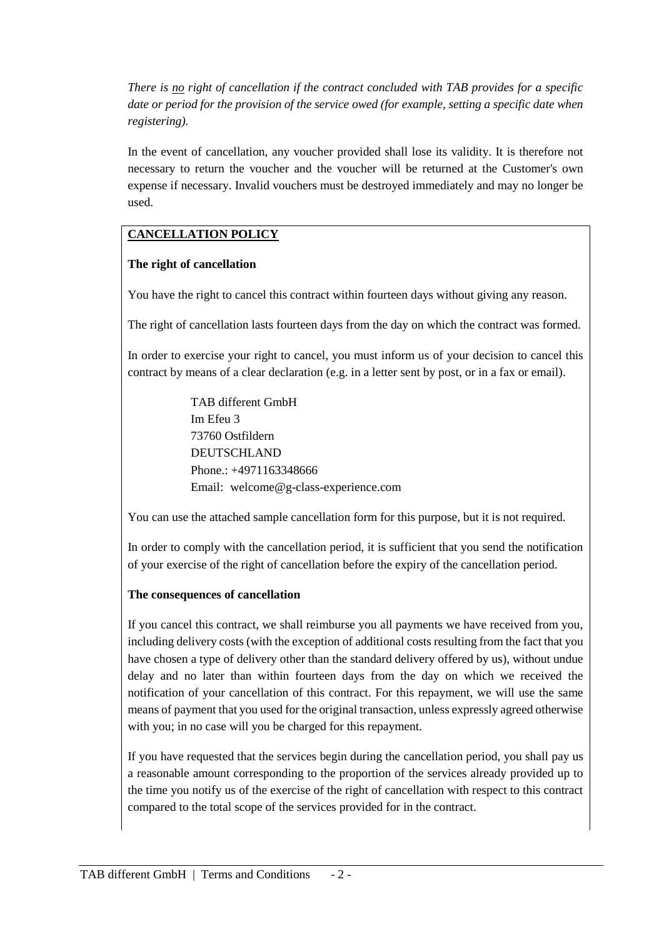*There is no right of cancellation if the contract concluded with TAB provides for a specific date or period for the provision of the service owed (for example, setting a specific date when registering).*

In the event of cancellation, any voucher provided shall lose its validity. It is therefore not necessary to return the voucher and the voucher will be returned at the Customer's own expense if necessary. Invalid vouchers must be destroyed immediately and may no longer be used.

# **CANCELLATION POLICY**

# **The right of cancellation**

You have the right to cancel this contract within fourteen days without giving any reason.

The right of cancellation lasts fourteen days from the day on which the contract was formed.

In order to exercise your right to cancel, you must inform us of your decision to cancel this contract by means of a clear declaration (e.g. in a letter sent by post, or in a fax or email).

> TAB different GmbH Im Efeu 3 73760 Ostfildern DEUTSCHLAND Phone.: +4971163348666 Email: welcome@g-class-experience.com

You can use the attached sample cancellation form for this purpose, but it is not required.

In order to comply with the cancellation period, it is sufficient that you send the notification of your exercise of the right of cancellation before the expiry of the cancellation period.

# **The consequences of cancellation**

If you cancel this contract, we shall reimburse you all payments we have received from you, including delivery costs (with the exception of additional costs resulting from the fact that you have chosen a type of delivery other than the standard delivery offered by us), without undue delay and no later than within fourteen days from the day on which we received the notification of your cancellation of this contract. For this repayment, we will use the same means of payment that you used for the original transaction, unless expressly agreed otherwise with you; in no case will you be charged for this repayment.

If you have requested that the services begin during the cancellation period, you shall pay us a reasonable amount corresponding to the proportion of the services already provided up to the time you notify us of the exercise of the right of cancellation with respect to this contract compared to the total scope of the services provided for in the contract.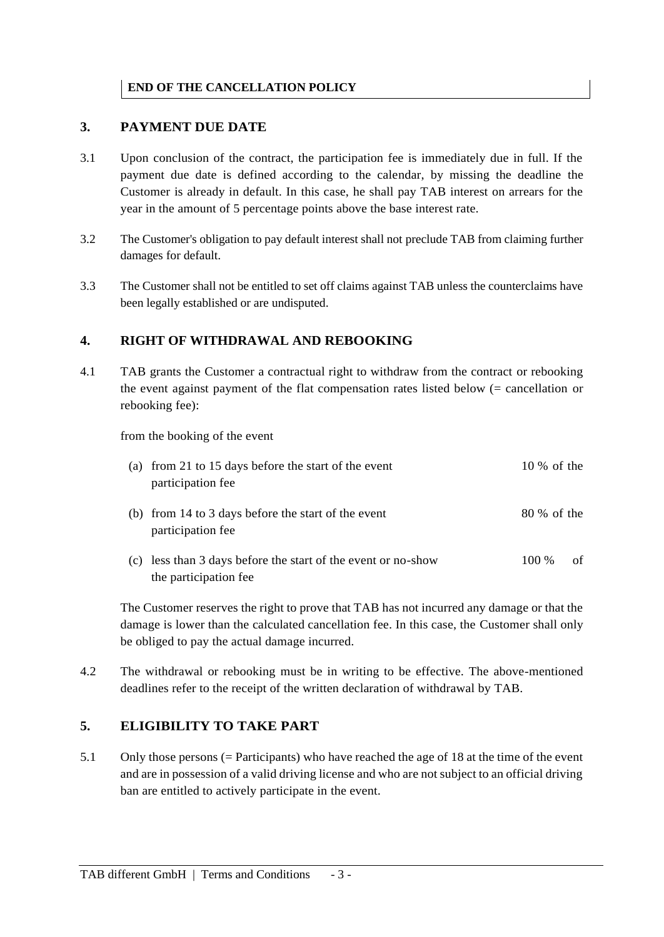# **END OF THE CANCELLATION POLICY**

#### **3. PAYMENT DUE DATE**

- 3.1 Upon conclusion of the contract, the participation fee is immediately due in full. If the payment due date is defined according to the calendar, by missing the deadline the Customer is already in default. In this case, he shall pay TAB interest on arrears for the year in the amount of 5 percentage points above the base interest rate.
- 3.2 The Customer's obligation to pay default interest shall not preclude TAB from claiming further damages for default.
- 3.3 The Customer shall not be entitled to set off claims against TAB unless the counterclaims have been legally established or are undisputed.

#### **4. RIGHT OF WITHDRAWAL AND REBOOKING**

4.1 TAB grants the Customer a contractual right to withdraw from the contract or rebooking the event against payment of the flat compensation rates listed below (= cancellation or rebooking fee):

from the booking of the event

| (a) from 21 to 15 days before the start of the event<br>participation fee              | $10\%$ of the |    |
|----------------------------------------------------------------------------------------|---------------|----|
| (b) from 14 to 3 days before the start of the event<br>participation fee               | 80 % of the   |    |
| (c) less than 3 days before the start of the event or no-show<br>the participation fee | 100 %         | of |

The Customer reserves the right to prove that TAB has not incurred any damage or that the damage is lower than the calculated cancellation fee. In this case, the Customer shall only be obliged to pay the actual damage incurred.

4.2 The withdrawal or rebooking must be in writing to be effective. The above-mentioned deadlines refer to the receipt of the written declaration of withdrawal by TAB.

#### **5. ELIGIBILITY TO TAKE PART**

5.1 Only those persons (= Participants) who have reached the age of 18 at the time of the event and are in possession of a valid driving license and who are not subject to an official driving ban are entitled to actively participate in the event.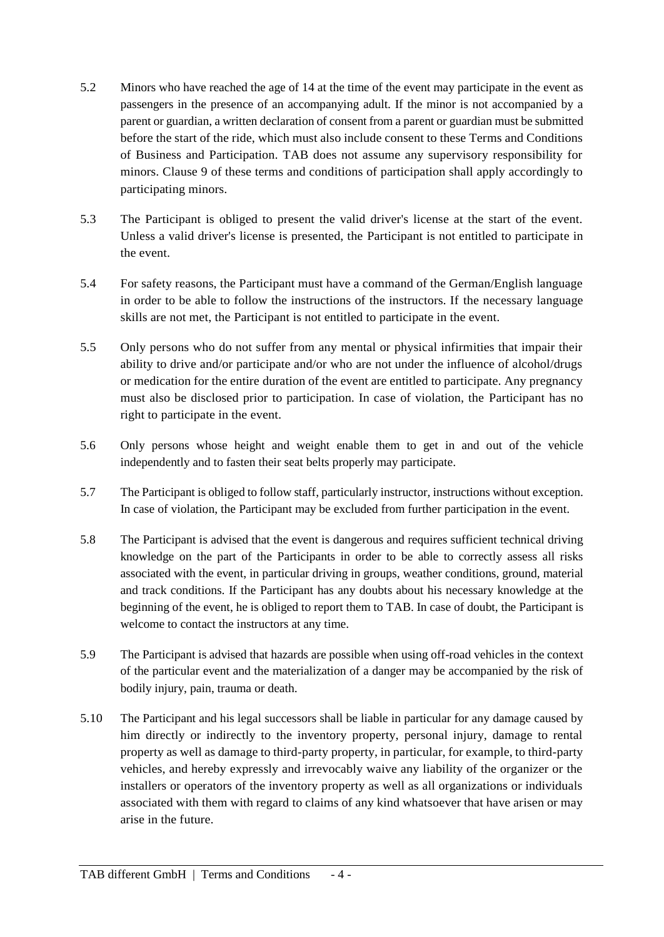- 5.2 Minors who have reached the age of 14 at the time of the event may participate in the event as passengers in the presence of an accompanying adult. If the minor is not accompanied by a parent or guardian, a written declaration of consent from a parent or guardian must be submitted before the start of the ride, which must also include consent to these Terms and Conditions of Business and Participation. TAB does not assume any supervisory responsibility for minors. Clause 9 of these terms and conditions of participation shall apply accordingly to participating minors.
- 5.3 The Participant is obliged to present the valid driver's license at the start of the event. Unless a valid driver's license is presented, the Participant is not entitled to participate in the event.
- 5.4 For safety reasons, the Participant must have a command of the German/English language in order to be able to follow the instructions of the instructors. If the necessary language skills are not met, the Participant is not entitled to participate in the event.
- 5.5 Only persons who do not suffer from any mental or physical infirmities that impair their ability to drive and/or participate and/or who are not under the influence of alcohol/drugs or medication for the entire duration of the event are entitled to participate. Any pregnancy must also be disclosed prior to participation. In case of violation, the Participant has no right to participate in the event.
- 5.6 Only persons whose height and weight enable them to get in and out of the vehicle independently and to fasten their seat belts properly may participate.
- 5.7 The Participant is obliged to follow staff, particularly instructor, instructions without exception. In case of violation, the Participant may be excluded from further participation in the event.
- 5.8 The Participant is advised that the event is dangerous and requires sufficient technical driving knowledge on the part of the Participants in order to be able to correctly assess all risks associated with the event, in particular driving in groups, weather conditions, ground, material and track conditions. If the Participant has any doubts about his necessary knowledge at the beginning of the event, he is obliged to report them to TAB. In case of doubt, the Participant is welcome to contact the instructors at any time.
- 5.9 The Participant is advised that hazards are possible when using off-road vehicles in the context of the particular event and the materialization of a danger may be accompanied by the risk of bodily injury, pain, trauma or death.
- 5.10 The Participant and his legal successors shall be liable in particular for any damage caused by him directly or indirectly to the inventory property, personal injury, damage to rental property as well as damage to third-party property, in particular, for example, to third-party vehicles, and hereby expressly and irrevocably waive any liability of the organizer or the installers or operators of the inventory property as well as all organizations or individuals associated with them with regard to claims of any kind whatsoever that have arisen or may arise in the future.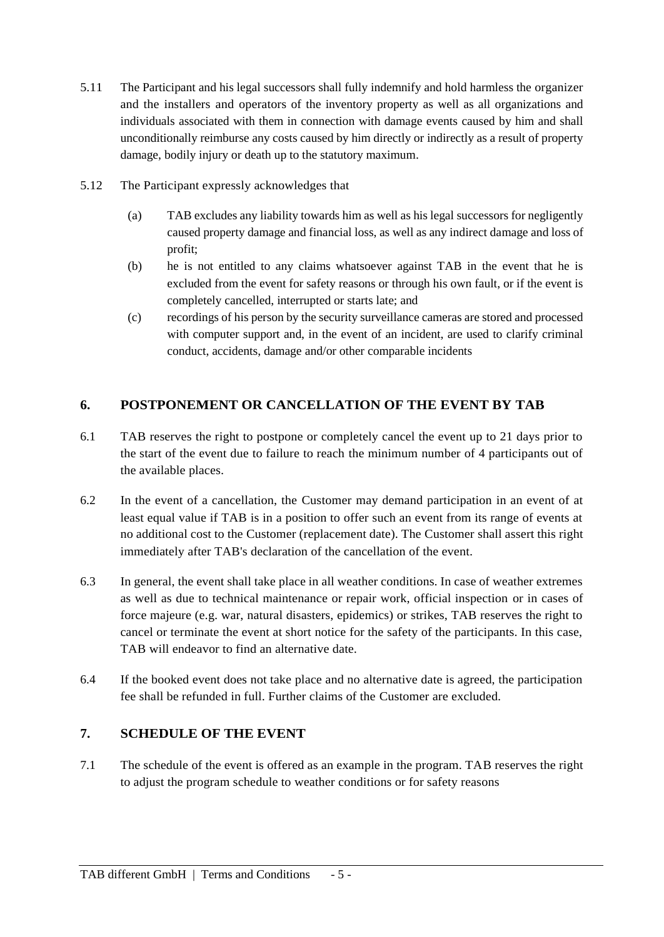- 5.11 The Participant and his legal successors shall fully indemnify and hold harmless the organizer and the installers and operators of the inventory property as well as all organizations and individuals associated with them in connection with damage events caused by him and shall unconditionally reimburse any costs caused by him directly or indirectly as a result of property damage, bodily injury or death up to the statutory maximum.
- 5.12 The Participant expressly acknowledges that
	- (a) TAB excludes any liability towards him as well as his legal successors for negligently caused property damage and financial loss, as well as any indirect damage and loss of profit;
	- (b) he is not entitled to any claims whatsoever against TAB in the event that he is excluded from the event for safety reasons or through his own fault, or if the event is completely cancelled, interrupted or starts late; and
	- (c) recordings of his person by the security surveillance cameras are stored and processed with computer support and, in the event of an incident, are used to clarify criminal conduct, accidents, damage and/or other comparable incidents

# **6. POSTPONEMENT OR CANCELLATION OF THE EVENT BY TAB**

- 6.1 TAB reserves the right to postpone or completely cancel the event up to 21 days prior to the start of the event due to failure to reach the minimum number of 4 participants out of the available places.
- 6.2 In the event of a cancellation, the Customer may demand participation in an event of at least equal value if TAB is in a position to offer such an event from its range of events at no additional cost to the Customer (replacement date). The Customer shall assert this right immediately after TAB's declaration of the cancellation of the event.
- 6.3 In general, the event shall take place in all weather conditions. In case of weather extremes as well as due to technical maintenance or repair work, official inspection or in cases of force majeure (e.g. war, natural disasters, epidemics) or strikes, TAB reserves the right to cancel or terminate the event at short notice for the safety of the participants. In this case, TAB will endeavor to find an alternative date.
- 6.4 If the booked event does not take place and no alternative date is agreed, the participation fee shall be refunded in full. Further claims of the Customer are excluded.

# **7. SCHEDULE OF THE EVENT**

7.1 The schedule of the event is offered as an example in the program. TAB reserves the right to adjust the program schedule to weather conditions or for safety reasons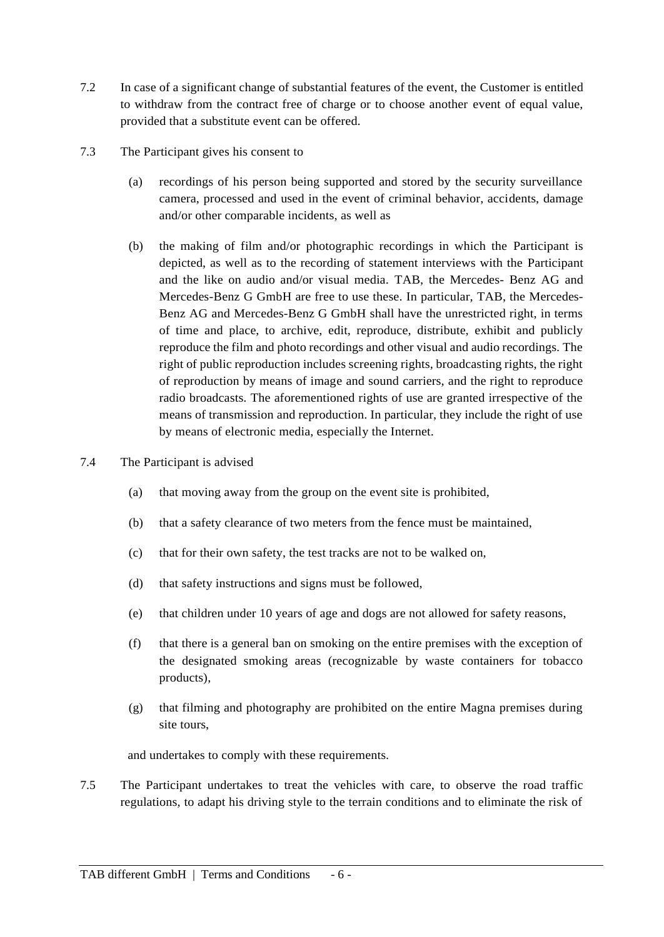- 7.2 In case of a significant change of substantial features of the event, the Customer is entitled to withdraw from the contract free of charge or to choose another event of equal value, provided that a substitute event can be offered.
- 7.3 The Participant gives his consent to
	- (a) recordings of his person being supported and stored by the security surveillance camera, processed and used in the event of criminal behavior, accidents, damage and/or other comparable incidents, as well as
	- (b) the making of film and/or photographic recordings in which the Participant is depicted, as well as to the recording of statement interviews with the Participant and the like on audio and/or visual media. TAB, the Mercedes- Benz AG and Mercedes-Benz G GmbH are free to use these. In particular, TAB, the Mercedes-Benz AG and Mercedes-Benz G GmbH shall have the unrestricted right, in terms of time and place, to archive, edit, reproduce, distribute, exhibit and publicly reproduce the film and photo recordings and other visual and audio recordings. The right of public reproduction includes screening rights, broadcasting rights, the right of reproduction by means of image and sound carriers, and the right to reproduce radio broadcasts. The aforementioned rights of use are granted irrespective of the means of transmission and reproduction. In particular, they include the right of use by means of electronic media, especially the Internet.
- 7.4 The Participant is advised
	- (a) that moving away from the group on the event site is prohibited,
	- (b) that a safety clearance of two meters from the fence must be maintained,
	- (c) that for their own safety, the test tracks are not to be walked on,
	- (d) that safety instructions and signs must be followed,
	- (e) that children under 10 years of age and dogs are not allowed for safety reasons,
	- (f) that there is a general ban on smoking on the entire premises with the exception of the designated smoking areas (recognizable by waste containers for tobacco products),
	- (g) that filming and photography are prohibited on the entire Magna premises during site tours,

and undertakes to comply with these requirements.

7.5 The Participant undertakes to treat the vehicles with care, to observe the road traffic regulations, to adapt his driving style to the terrain conditions and to eliminate the risk of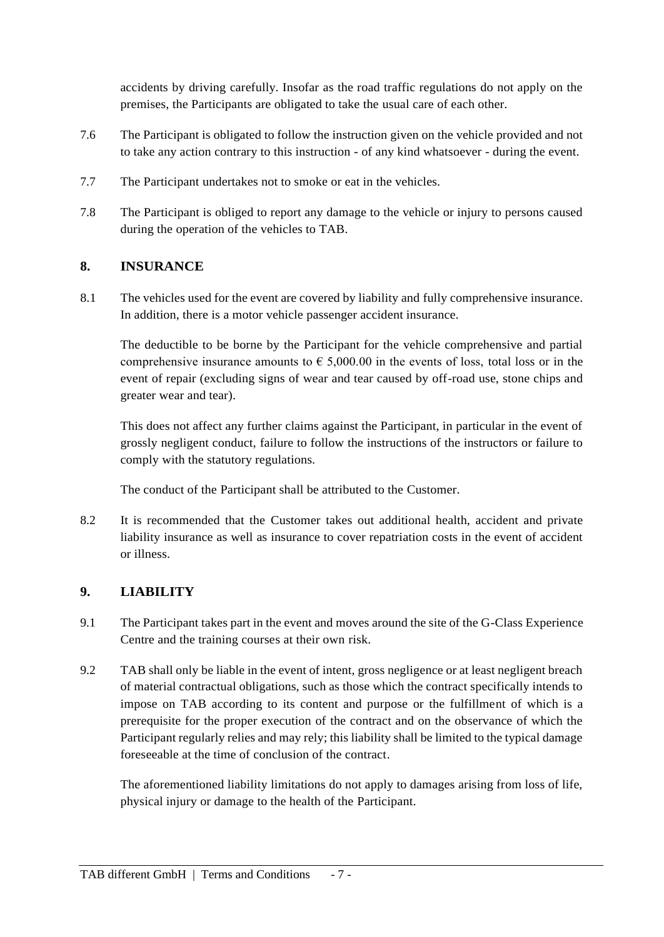accidents by driving carefully. Insofar as the road traffic regulations do not apply on the premises, the Participants are obligated to take the usual care of each other.

- 7.6 The Participant is obligated to follow the instruction given on the vehicle provided and not to take any action contrary to this instruction - of any kind whatsoever - during the event.
- 7.7 The Participant undertakes not to smoke or eat in the vehicles.
- 7.8 The Participant is obliged to report any damage to the vehicle or injury to persons caused during the operation of the vehicles to TAB.

# **8. INSURANCE**

8.1 The vehicles used for the event are covered by liability and fully comprehensive insurance. In addition, there is a motor vehicle passenger accident insurance.

The deductible to be borne by the Participant for the vehicle comprehensive and partial comprehensive insurance amounts to  $\epsilon$  5,000.00 in the events of loss, total loss or in the event of repair (excluding signs of wear and tear caused by off-road use, stone chips and greater wear and tear).

This does not affect any further claims against the Participant, in particular in the event of grossly negligent conduct, failure to follow the instructions of the instructors or failure to comply with the statutory regulations.

The conduct of the Participant shall be attributed to the Customer.

8.2 It is recommended that the Customer takes out additional health, accident and private liability insurance as well as insurance to cover repatriation costs in the event of accident or illness.

# **9. LIABILITY**

- 9.1 The Participant takes part in the event and moves around the site of the G-Class Experience Centre and the training courses at their own risk.
- 9.2 TAB shall only be liable in the event of intent, gross negligence or at least negligent breach of material contractual obligations, such as those which the contract specifically intends to impose on TAB according to its content and purpose or the fulfillment of which is a prerequisite for the proper execution of the contract and on the observance of which the Participant regularly relies and may rely; this liability shall be limited to the typical damage foreseeable at the time of conclusion of the contract.

The aforementioned liability limitations do not apply to damages arising from loss of life, physical injury or damage to the health of the Participant.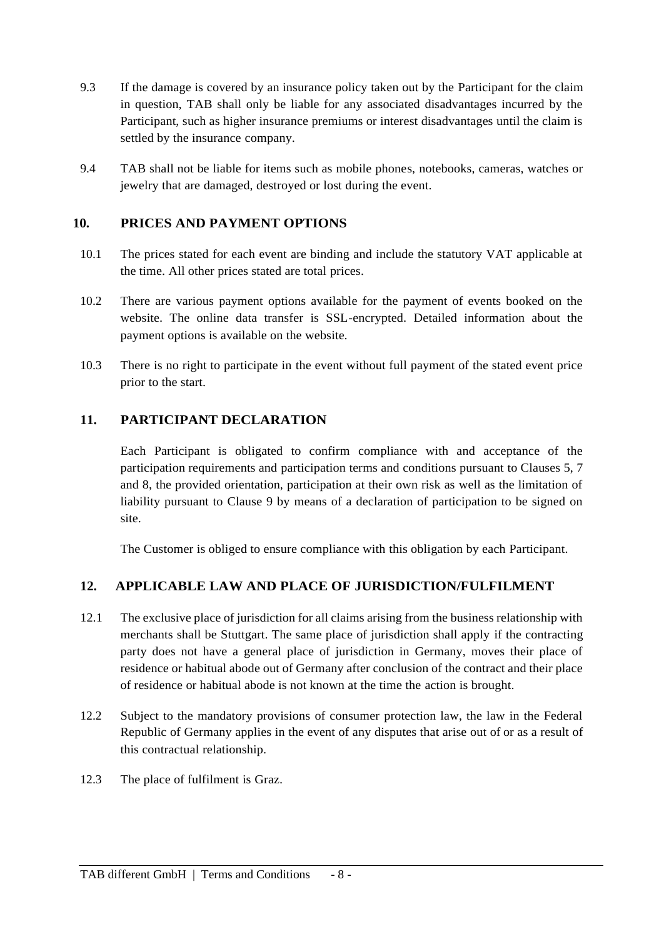- 9.3 If the damage is covered by an insurance policy taken out by the Participant for the claim in question, TAB shall only be liable for any associated disadvantages incurred by the Participant, such as higher insurance premiums or interest disadvantages until the claim is settled by the insurance company.
- 9.4 TAB shall not be liable for items such as mobile phones, notebooks, cameras, watches or jewelry that are damaged, destroyed or lost during the event.

# **10. PRICES AND PAYMENT OPTIONS**

- 10.1 The prices stated for each event are binding and include the statutory VAT applicable at the time. All other prices stated are total prices.
- 10.2 There are various payment options available for the payment of events booked on the website. The online data transfer is SSL-encrypted. Detailed information about the payment options is available on the website.
- 10.3 There is no right to participate in the event without full payment of the stated event price prior to the start.

# **11. PARTICIPANT DECLARATION**

Each Participant is obligated to confirm compliance with and acceptance of the participation requirements and participation terms and conditions pursuant to Clauses 5, 7 and 8, the provided orientation, participation at their own risk as well as the limitation of liability pursuant to Clause 9 by means of a declaration of participation to be signed on site.

The Customer is obliged to ensure compliance with this obligation by each Participant.

# **12. APPLICABLE LAW AND PLACE OF JURISDICTION/FULFILMENT**

- 12.1 The exclusive place of jurisdiction for all claims arising from the business relationship with merchants shall be Stuttgart. The same place of jurisdiction shall apply if the contracting party does not have a general place of jurisdiction in Germany, moves their place of residence or habitual abode out of Germany after conclusion of the contract and their place of residence or habitual abode is not known at the time the action is brought.
- 12.2 Subject to the mandatory provisions of consumer protection law, the law in the Federal Republic of Germany applies in the event of any disputes that arise out of or as a result of this contractual relationship.
- 12.3 The place of fulfilment is Graz.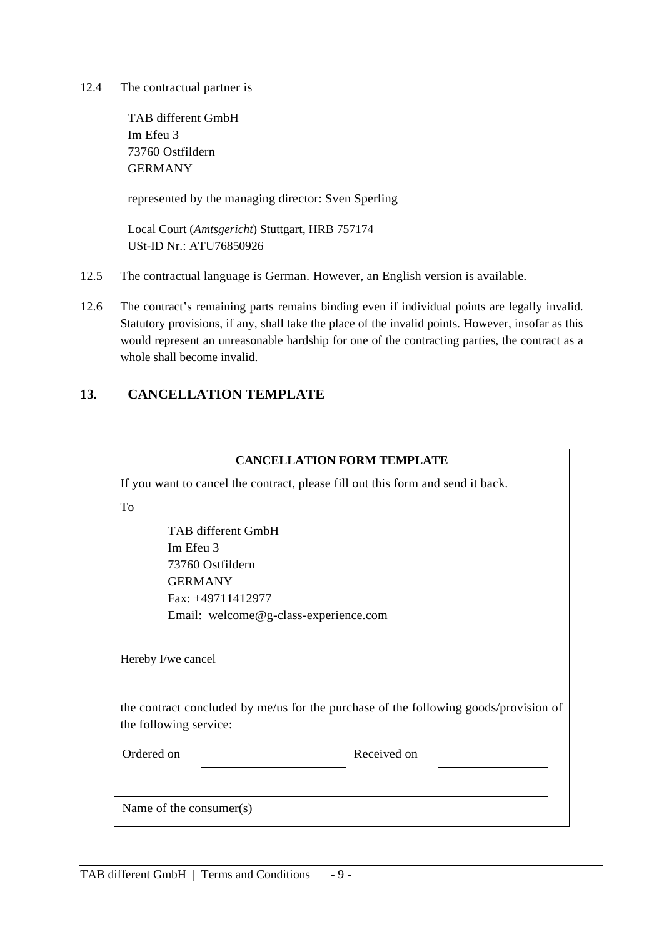12.4 The contractual partner is

TAB different GmbH Im Efeu 3 73760 Ostfildern GERMANY

represented by the managing director: Sven Sperling

Local Court (*Amtsgericht*) Stuttgart, HRB 757174 USt-ID Nr.: ATU76850926

- 12.5 The contractual language is German. However, an English version is available.
- 12.6 The contract's remaining parts remains binding even if individual points are legally invalid. Statutory provisions, if any, shall take the place of the invalid points. However, insofar as this would represent an unreasonable hardship for one of the contracting parties, the contract as a whole shall become invalid.

#### **13. CANCELLATION TEMPLATE**

#### **CANCELLATION FORM TEMPLATE**

If you want to cancel the contract, please fill out this form and send it back. To

TAB different GmbH Im Efeu 3 73760 Ostfildern GERMANY Fax: +49711412977 Email: welcome@g-class-experience.com

Hereby I/we cancel

the contract concluded by me/us for the purchase of the following goods/provision of the following service:

Ordered on Received on

Name of the consumer(s)